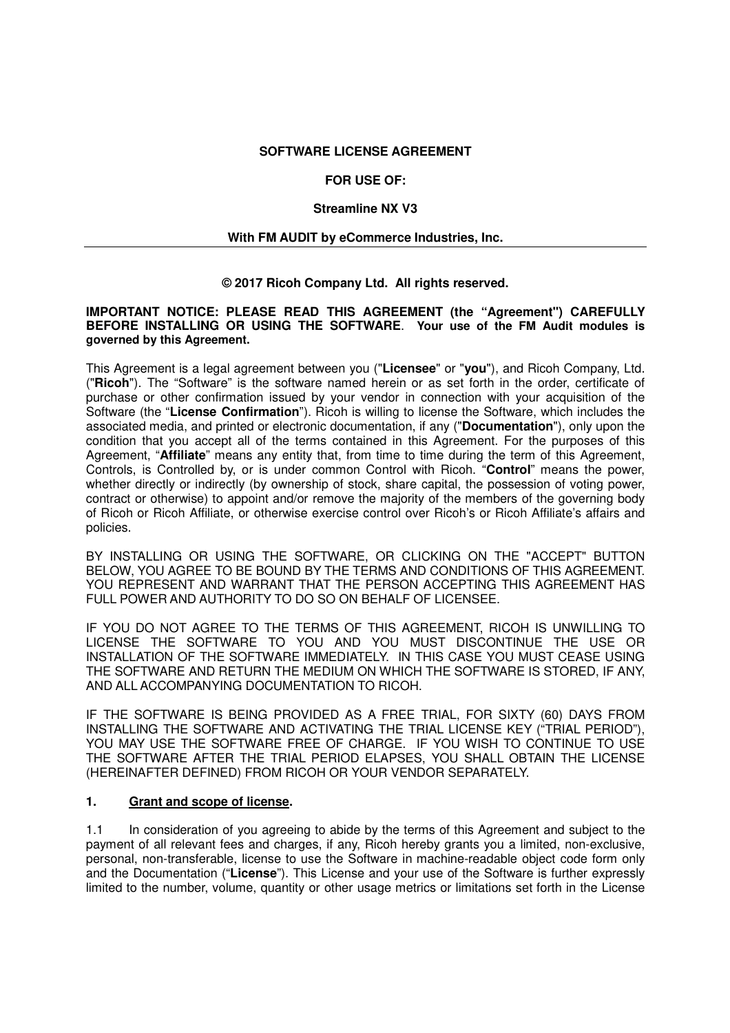### **SOFTWARE LICENSE AGREEMENT**

## **FOR USE OF:**

### **Streamline NX V3**

### **With FM AUDIT by eCommerce Industries, Inc.**

### **© 2017 Ricoh Company Ltd. All rights reserved.**

#### **IMPORTANT NOTICE: PLEASE READ THIS AGREEMENT (the "Agreement") CAREFULLY BEFORE INSTALLING OR USING THE SOFTWARE**. **Your use of the FM Audit modules is governed by this Agreement.**

This Agreement is a legal agreement between you ("**Licensee**" or "**you**"), and Ricoh Company, Ltd. ("**Ricoh**"). The "Software" is the software named herein or as set forth in the order, certificate of purchase or other confirmation issued by your vendor in connection with your acquisition of the Software (the "**License Confirmation**"). Ricoh is willing to license the Software, which includes the associated media, and printed or electronic documentation, if any ("**Documentation**"), only upon the condition that you accept all of the terms contained in this Agreement. For the purposes of this Agreement, "**Affiliate**" means any entity that, from time to time during the term of this Agreement, Controls, is Controlled by, or is under common Control with Ricoh. "**Control**" means the power, whether directly or indirectly (by ownership of stock, share capital, the possession of voting power, contract or otherwise) to appoint and/or remove the majority of the members of the governing body of Ricoh or Ricoh Affiliate, or otherwise exercise control over Ricoh's or Ricoh Affiliate's affairs and policies.

BY INSTALLING OR USING THE SOFTWARE, OR CLICKING ON THE "ACCEPT" BUTTON BELOW, YOU AGREE TO BE BOUND BY THE TERMS AND CONDITIONS OF THIS AGREEMENT. YOU REPRESENT AND WARRANT THAT THE PERSON ACCEPTING THIS AGREEMENT HAS FULL POWER AND AUTHORITY TO DO SO ON BEHALF OF LICENSEE.

IF YOU DO NOT AGREE TO THE TERMS OF THIS AGREEMENT, RICOH IS UNWILLING TO LICENSE THE SOFTWARE TO YOU AND YOU MUST DISCONTINUE THE USE OR INSTALLATION OF THE SOFTWARE IMMEDIATELY. IN THIS CASE YOU MUST CEASE USING THE SOFTWARE AND RETURN THE MEDIUM ON WHICH THE SOFTWARE IS STORED, IF ANY, AND ALL ACCOMPANYING DOCUMENTATION TO RICOH.

IF THE SOFTWARE IS BEING PROVIDED AS A FREE TRIAL, FOR SIXTY (60) DAYS FROM INSTALLING THE SOFTWARE AND ACTIVATING THE TRIAL LICENSE KEY ("TRIAL PERIOD"), YOU MAY USE THE SOFTWARE FREE OF CHARGE. IF YOU WISH TO CONTINUE TO USE THE SOFTWARE AFTER THE TRIAL PERIOD ELAPSES, YOU SHALL OBTAIN THE LICENSE (HEREINAFTER DEFINED) FROM RICOH OR YOUR VENDOR SEPARATELY.

## **1. Grant and scope of license.**

1.1 In consideration of you agreeing to abide by the terms of this Agreement and subject to the payment of all relevant fees and charges, if any, Ricoh hereby grants you a limited, non-exclusive, personal, non-transferable, license to use the Software in machine-readable object code form only and the Documentation ("**License**"). This License and your use of the Software is further expressly limited to the number, volume, quantity or other usage metrics or limitations set forth in the License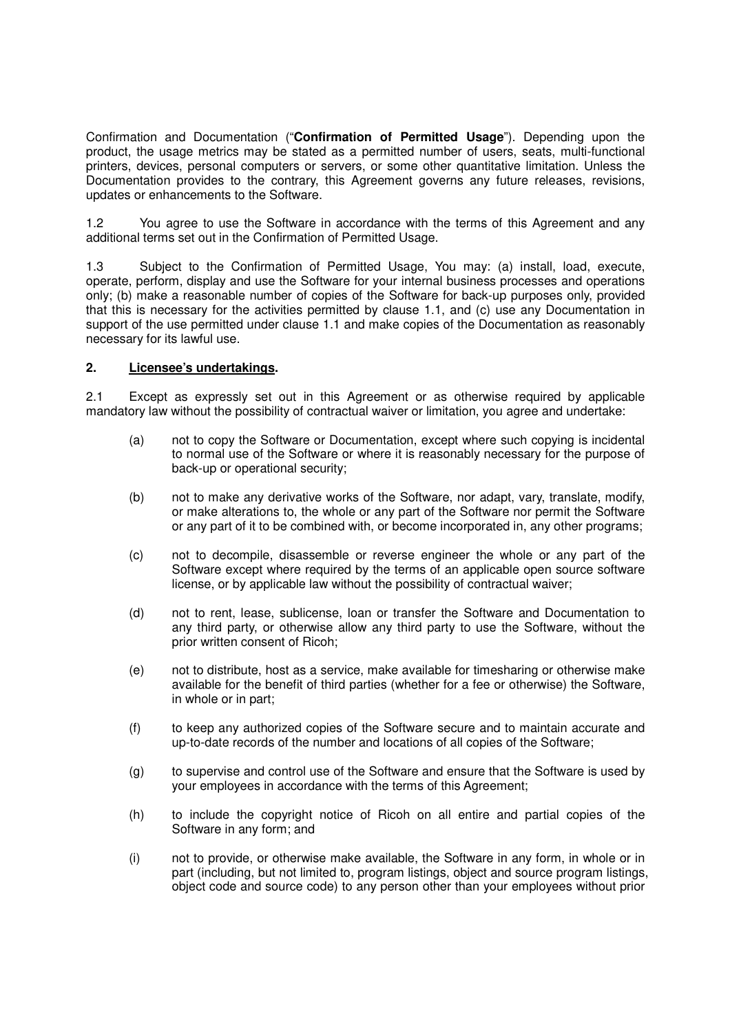Confirmation and Documentation ("**Confirmation of Permitted Usage**"). Depending upon the product, the usage metrics may be stated as a permitted number of users, seats, multi-functional printers, devices, personal computers or servers, or some other quantitative limitation. Unless the Documentation provides to the contrary, this Agreement governs any future releases, revisions, updates or enhancements to the Software.

1.2 You agree to use the Software in accordance with the terms of this Agreement and any additional terms set out in the Confirmation of Permitted Usage.

1.3 Subject to the Confirmation of Permitted Usage, You may: (a) install, load, execute, operate, perform, display and use the Software for your internal business processes and operations only; (b) make a reasonable number of copies of the Software for back-up purposes only, provided that this is necessary for the activities permitted by clause 1.1, and (c) use any Documentation in support of the use permitted under clause 1.1 and make copies of the Documentation as reasonably necessary for its lawful use.

### **2. Licensee's undertakings.**

2.1 Except as expressly set out in this Agreement or as otherwise required by applicable mandatory law without the possibility of contractual waiver or limitation, you agree and undertake:

- (a) not to copy the Software or Documentation, except where such copying is incidental to normal use of the Software or where it is reasonably necessary for the purpose of back-up or operational security;
- (b) not to make any derivative works of the Software, nor adapt, vary, translate, modify, or make alterations to, the whole or any part of the Software nor permit the Software or any part of it to be combined with, or become incorporated in, any other programs;
- (c) not to decompile, disassemble or reverse engineer the whole or any part of the Software except where required by the terms of an applicable open source software license, or by applicable law without the possibility of contractual waiver;
- (d) not to rent, lease, sublicense, loan or transfer the Software and Documentation to any third party, or otherwise allow any third party to use the Software, without the prior written consent of Ricoh;
- (e) not to distribute, host as a service, make available for timesharing or otherwise make available for the benefit of third parties (whether for a fee or otherwise) the Software, in whole or in part;
- (f) to keep any authorized copies of the Software secure and to maintain accurate and up-to-date records of the number and locations of all copies of the Software;
- (g) to supervise and control use of the Software and ensure that the Software is used by your employees in accordance with the terms of this Agreement;
- (h) to include the copyright notice of Ricoh on all entire and partial copies of the Software in any form; and
- (i) not to provide, or otherwise make available, the Software in any form, in whole or in part (including, but not limited to, program listings, object and source program listings, object code and source code) to any person other than your employees without prior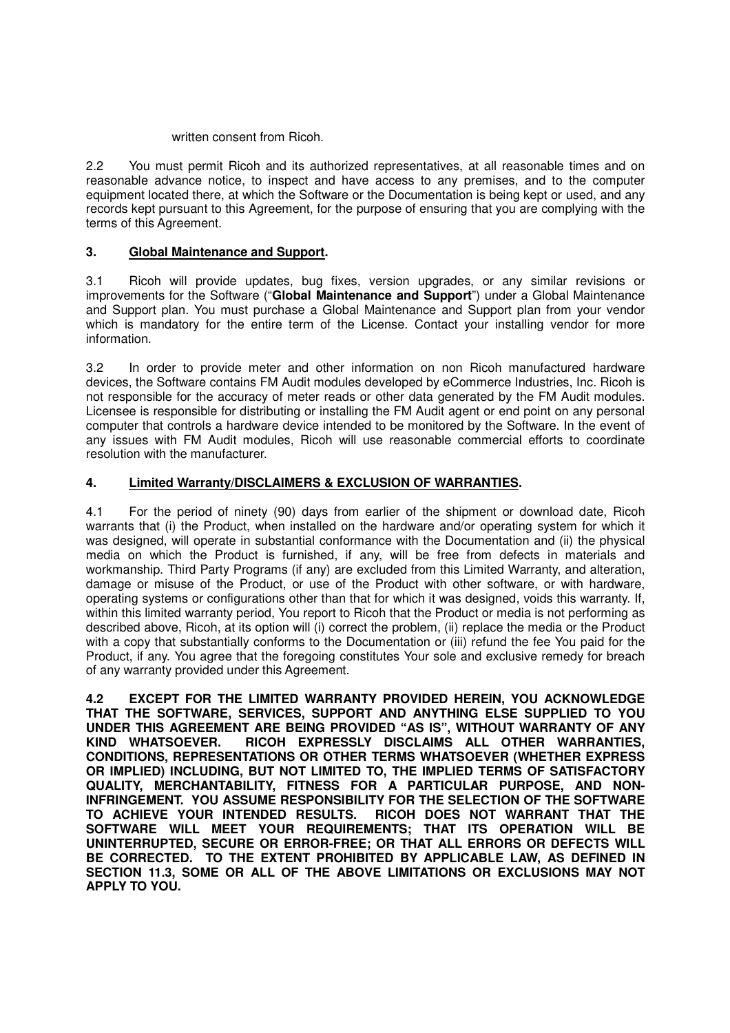## written consent from Ricoh.

2.2 You must permit Ricoh and its authorized representatives, at all reasonable times and on reasonable advance notice, to inspect and have access to any premises, and to the computer equipment located there, at which the Software or the Documentation is being kept or used, and any records kept pursuant to this Agreement, for the purpose of ensuring that you are complying with the terms of this Agreement.

# **3. Global Maintenance and Support.**

3.1 Ricoh will provide updates, bug fixes, version upgrades, or any similar revisions or improvements for the Software ("**Global Maintenance and Support**") under a Global Maintenance and Support plan. You must purchase a Global Maintenance and Support plan from your vendor which is mandatory for the entire term of the License. Contact your installing vendor for more information.

3.2 In order to provide meter and other information on non Ricoh manufactured hardware devices, the Software contains FM Audit modules developed by eCommerce Industries, Inc. Ricoh is not responsible for the accuracy of meter reads or other data generated by the FM Audit modules. Licensee is responsible for distributing or installing the FM Audit agent or end point on any personal computer that controls a hardware device intended to be monitored by the Software. In the event of any issues with FM Audit modules, Ricoh will use reasonable commercial efforts to coordinate resolution with the manufacturer.

# **4. Limited Warranty/DISCLAIMERS & EXCLUSION OF WARRANTIES.**

4.1 For the period of ninety (90) days from earlier of the shipment or download date, Ricoh warrants that (i) the Product, when installed on the hardware and/or operating system for which it was designed, will operate in substantial conformance with the Documentation and (ii) the physical media on which the Product is furnished, if any, will be free from defects in materials and workmanship. Third Party Programs (if any) are excluded from this Limited Warranty, and alteration, damage or misuse of the Product, or use of the Product with other software, or with hardware, operating systems or configurations other than that for which it was designed, voids this warranty. If, within this limited warranty period, You report to Ricoh that the Product or media is not performing as described above, Ricoh, at its option will (i) correct the problem, (ii) replace the media or the Product with a copy that substantially conforms to the Documentation or (iii) refund the fee You paid for the Product, if any. You agree that the foregoing constitutes Your sole and exclusive remedy for breach of any warranty provided under this Agreement.

**4.2 EXCEPT FOR THE LIMITED WARRANTY PROVIDED HEREIN, YOU ACKNOWLEDGE THAT THE SOFTWARE, SERVICES, SUPPORT AND ANYTHING ELSE SUPPLIED TO YOU UNDER THIS AGREEMENT ARE BEING PROVIDED "AS IS", WITHOUT WARRANTY OF ANY KIND WHATSOEVER. RICOH EXPRESSLY DISCLAIMS ALL OTHER WARRANTIES, CONDITIONS, REPRESENTATIONS OR OTHER TERMS WHATSOEVER (WHETHER EXPRESS OR IMPLIED) INCLUDING, BUT NOT LIMITED TO, THE IMPLIED TERMS OF SATISFACTORY QUALITY, MERCHANTABILITY, FITNESS FOR A PARTICULAR PURPOSE, AND NON-INFRINGEMENT. YOU ASSUME RESPONSIBILITY FOR THE SELECTION OF THE SOFTWARE TO ACHIEVE YOUR INTENDED RESULTS. RICOH DOES NOT WARRANT THAT THE SOFTWARE WILL MEET YOUR REQUIREMENTS; THAT ITS OPERATION WILL BE UNINTERRUPTED, SECURE OR ERROR-FREE; OR THAT ALL ERRORS OR DEFECTS WILL BE CORRECTED. TO THE EXTENT PROHIBITED BY APPLICABLE LAW, AS DEFINED IN SECTION 11.3, SOME OR ALL OF THE ABOVE LIMITATIONS OR EXCLUSIONS MAY NOT APPLY TO YOU.**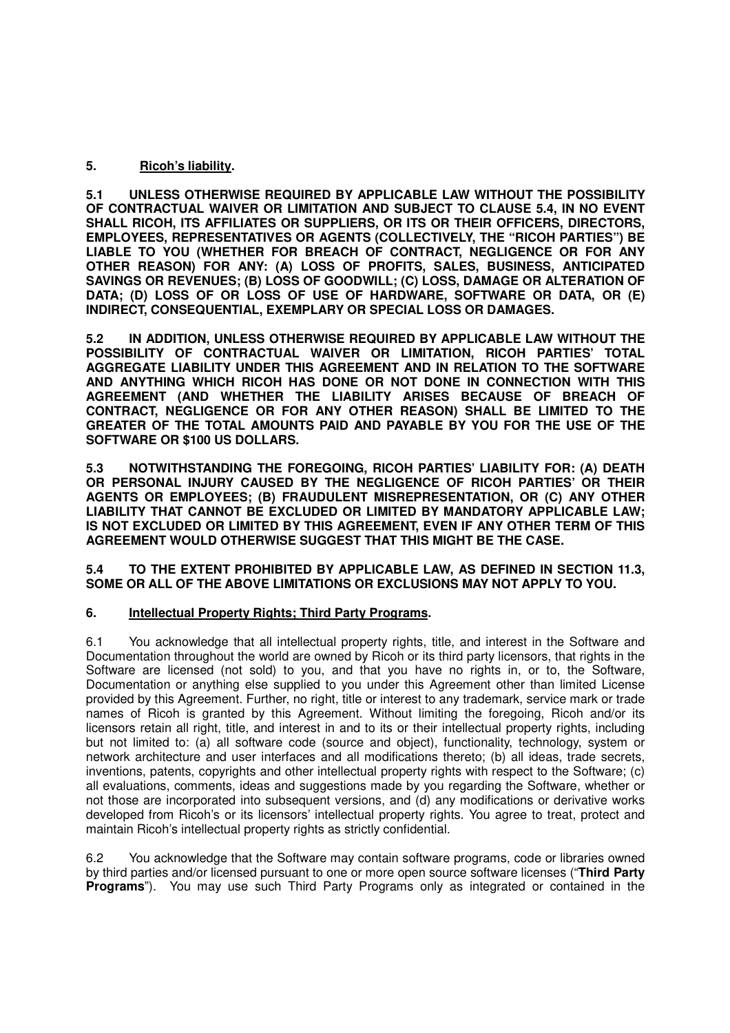## **5. Ricoh's liability.**

**5.1 UNLESS OTHERWISE REQUIRED BY APPLICABLE LAW WITHOUT THE POSSIBILITY OF CONTRACTUAL WAIVER OR LIMITATION AND SUBJECT TO CLAUSE 5.4, IN NO EVENT SHALL RICOH, ITS AFFILIATES OR SUPPLIERS, OR ITS OR THEIR OFFICERS, DIRECTORS, EMPLOYEES, REPRESENTATIVES OR AGENTS (COLLECTIVELY, THE "RICOH PARTIES") BE LIABLE TO YOU (WHETHER FOR BREACH OF CONTRACT, NEGLIGENCE OR FOR ANY OTHER REASON) FOR ANY: (A) LOSS OF PROFITS, SALES, BUSINESS, ANTICIPATED SAVINGS OR REVENUES; (B) LOSS OF GOODWILL; (C) LOSS, DAMAGE OR ALTERATION OF DATA; (D) LOSS OF OR LOSS OF USE OF HARDWARE, SOFTWARE OR DATA, OR (E) INDIRECT, CONSEQUENTIAL, EXEMPLARY OR SPECIAL LOSS OR DAMAGES.** 

**5.2 IN ADDITION, UNLESS OTHERWISE REQUIRED BY APPLICABLE LAW WITHOUT THE POSSIBILITY OF CONTRACTUAL WAIVER OR LIMITATION, RICOH PARTIES' TOTAL AGGREGATE LIABILITY UNDER THIS AGREEMENT AND IN RELATION TO THE SOFTWARE AND ANYTHING WHICH RICOH HAS DONE OR NOT DONE IN CONNECTION WITH THIS AGREEMENT (AND WHETHER THE LIABILITY ARISES BECAUSE OF BREACH OF CONTRACT, NEGLIGENCE OR FOR ANY OTHER REASON) SHALL BE LIMITED TO THE GREATER OF THE TOTAL AMOUNTS PAID AND PAYABLE BY YOU FOR THE USE OF THE SOFTWARE OR \$100 US DOLLARS.** 

**5.3 NOTWITHSTANDING THE FOREGOING, RICOH PARTIES' LIABILITY FOR: (A) DEATH OR PERSONAL INJURY CAUSED BY THE NEGLIGENCE OF RICOH PARTIES' OR THEIR AGENTS OR EMPLOYEES; (B) FRAUDULENT MISREPRESENTATION, OR (C) ANY OTHER LIABILITY THAT CANNOT BE EXCLUDED OR LIMITED BY MANDATORY APPLICABLE LAW; IS NOT EXCLUDED OR LIMITED BY THIS AGREEMENT, EVEN IF ANY OTHER TERM OF THIS AGREEMENT WOULD OTHERWISE SUGGEST THAT THIS MIGHT BE THE CASE.** 

## **5.4 TO THE EXTENT PROHIBITED BY APPLICABLE LAW, AS DEFINED IN SECTION 11.3, SOME OR ALL OF THE ABOVE LIMITATIONS OR EXCLUSIONS MAY NOT APPLY TO YOU.**

## **6. Intellectual Property Rights; Third Party Programs.**

6.1 You acknowledge that all intellectual property rights, title, and interest in the Software and Documentation throughout the world are owned by Ricoh or its third party licensors, that rights in the Software are licensed (not sold) to you, and that you have no rights in, or to, the Software, Documentation or anything else supplied to you under this Agreement other than limited License provided by this Agreement. Further, no right, title or interest to any trademark, service mark or trade names of Ricoh is granted by this Agreement. Without limiting the foregoing, Ricoh and/or its licensors retain all right, title, and interest in and to its or their intellectual property rights, including but not limited to: (a) all software code (source and object), functionality, technology, system or network architecture and user interfaces and all modifications thereto; (b) all ideas, trade secrets, inventions, patents, copyrights and other intellectual property rights with respect to the Software; (c) all evaluations, comments, ideas and suggestions made by you regarding the Software, whether or not those are incorporated into subsequent versions, and (d) any modifications or derivative works developed from Ricoh's or its licensors' intellectual property rights. You agree to treat, protect and maintain Ricoh's intellectual property rights as strictly confidential.

6.2 You acknowledge that the Software may contain software programs, code or libraries owned by third parties and/or licensed pursuant to one or more open source software licenses ("**Third Party Programs**"). You may use such Third Party Programs only as integrated or contained in the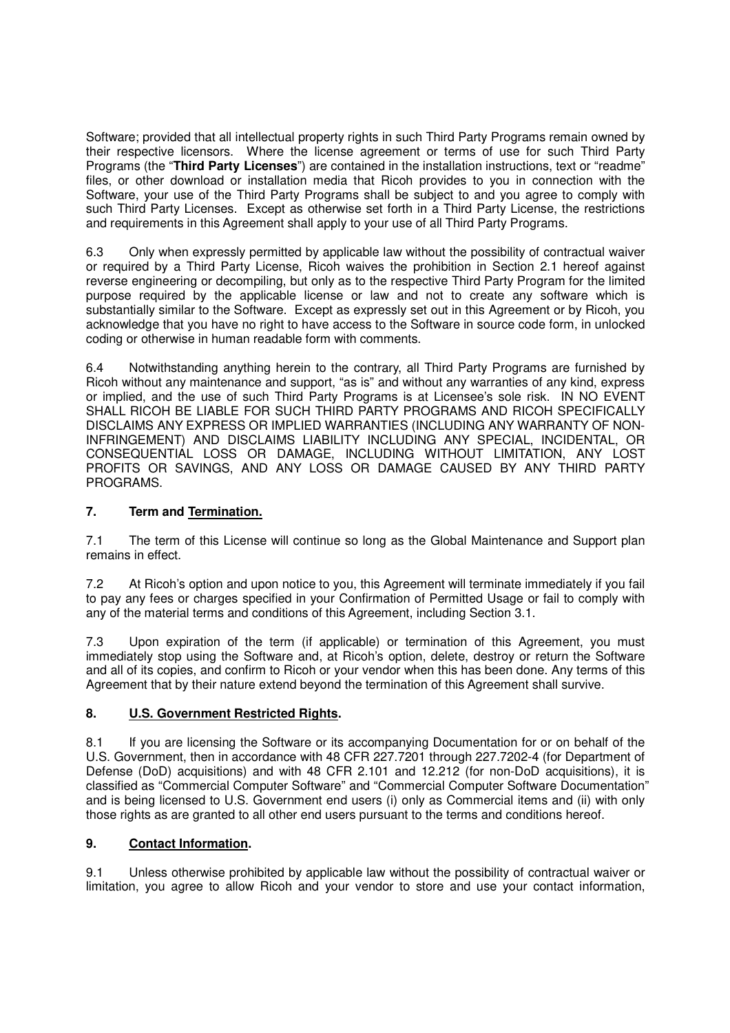Software; provided that all intellectual property rights in such Third Party Programs remain owned by their respective licensors. Where the license agreement or terms of use for such Third Party Programs (the "**Third Party Licenses**") are contained in the installation instructions, text or "readme" files, or other download or installation media that Ricoh provides to you in connection with the Software, your use of the Third Party Programs shall be subject to and you agree to comply with such Third Party Licenses. Except as otherwise set forth in a Third Party License, the restrictions and requirements in this Agreement shall apply to your use of all Third Party Programs.

6.3 Only when expressly permitted by applicable law without the possibility of contractual waiver or required by a Third Party License, Ricoh waives the prohibition in Section 2.1 hereof against reverse engineering or decompiling, but only as to the respective Third Party Program for the limited purpose required by the applicable license or law and not to create any software which is substantially similar to the Software. Except as expressly set out in this Agreement or by Ricoh, you acknowledge that you have no right to have access to the Software in source code form, in unlocked coding or otherwise in human readable form with comments.

6.4 Notwithstanding anything herein to the contrary, all Third Party Programs are furnished by Ricoh without any maintenance and support, "as is" and without any warranties of any kind, express or implied, and the use of such Third Party Programs is at Licensee's sole risk. IN NO EVENT SHALL RICOH BE LIABLE FOR SUCH THIRD PARTY PROGRAMS AND RICOH SPECIFICALLY DISCLAIMS ANY EXPRESS OR IMPLIED WARRANTIES (INCLUDING ANY WARRANTY OF NON-INFRINGEMENT) AND DISCLAIMS LIABILITY INCLUDING ANY SPECIAL, INCIDENTAL, OR CONSEQUENTIAL LOSS OR DAMAGE, INCLUDING WITHOUT LIMITATION, ANY LOST PROFITS OR SAVINGS, AND ANY LOSS OR DAMAGE CAUSED BY ANY THIRD PARTY PROGRAMS.

# **7. Term and Termination.**

7.1 The term of this License will continue so long as the Global Maintenance and Support plan remains in effect.

7.2 At Ricoh's option and upon notice to you, this Agreement will terminate immediately if you fail to pay any fees or charges specified in your Confirmation of Permitted Usage or fail to comply with any of the material terms and conditions of this Agreement, including Section 3.1.

7.3 Upon expiration of the term (if applicable) or termination of this Agreement, you must immediately stop using the Software and, at Ricoh's option, delete, destroy or return the Software and all of its copies, and confirm to Ricoh or your vendor when this has been done. Any terms of this Agreement that by their nature extend beyond the termination of this Agreement shall survive.

# **8. U.S. Government Restricted Rights.**

8.1 If you are licensing the Software or its accompanying Documentation for or on behalf of the U.S. Government, then in accordance with 48 CFR 227.7201 through 227.7202-4 (for Department of Defense (DoD) acquisitions) and with 48 CFR 2.101 and 12.212 (for non-DoD acquisitions), it is classified as "Commercial Computer Software" and "Commercial Computer Software Documentation" and is being licensed to U.S. Government end users (i) only as Commercial items and (ii) with only those rights as are granted to all other end users pursuant to the terms and conditions hereof.

# **9. Contact Information.**

9.1 Unless otherwise prohibited by applicable law without the possibility of contractual waiver or limitation, you agree to allow Ricoh and your vendor to store and use your contact information,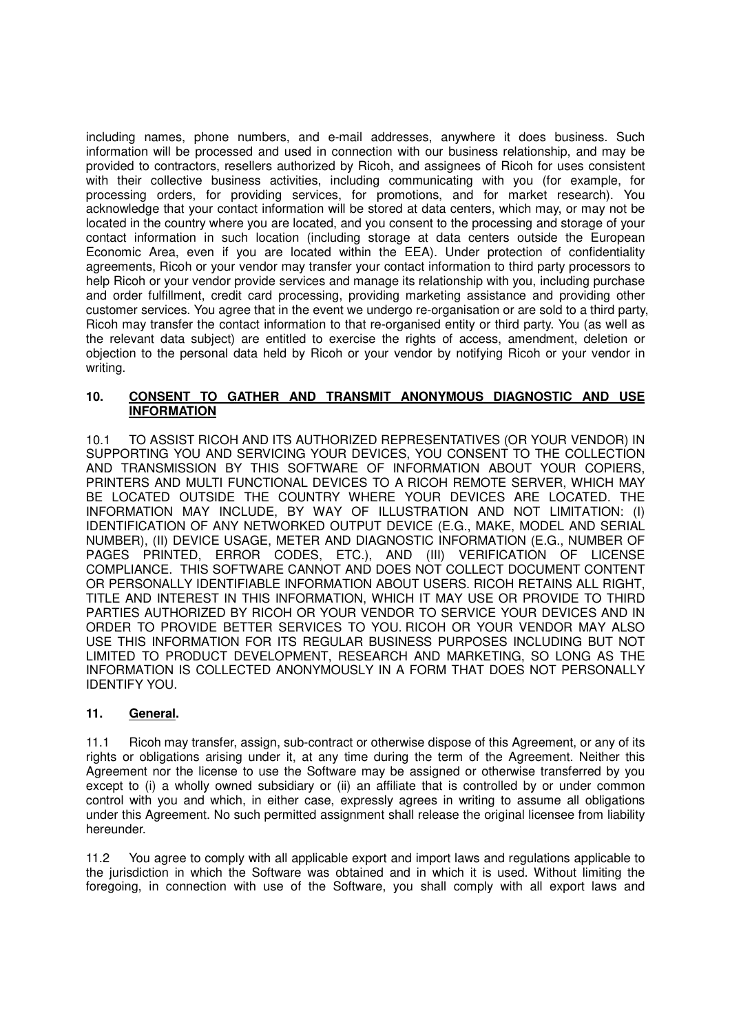including names, phone numbers, and e-mail addresses, anywhere it does business. Such information will be processed and used in connection with our business relationship, and may be provided to contractors, resellers authorized by Ricoh, and assignees of Ricoh for uses consistent with their collective business activities, including communicating with you (for example, for processing orders, for providing services, for promotions, and for market research). You acknowledge that your contact information will be stored at data centers, which may, or may not be located in the country where you are located, and you consent to the processing and storage of your contact information in such location (including storage at data centers outside the European Economic Area, even if you are located within the EEA). Under protection of confidentiality agreements, Ricoh or your vendor may transfer your contact information to third party processors to help Ricoh or your vendor provide services and manage its relationship with you, including purchase and order fulfillment, credit card processing, providing marketing assistance and providing other customer services. You agree that in the event we undergo re-organisation or are sold to a third party, Ricoh may transfer the contact information to that re-organised entity or third party. You (as well as the relevant data subject) are entitled to exercise the rights of access, amendment, deletion or objection to the personal data held by Ricoh or your vendor by notifying Ricoh or your vendor in writing.

## **10. CONSENT TO GATHER AND TRANSMIT ANONYMOUS DIAGNOSTIC AND USE INFORMATION**

10.1 TO ASSIST RICOH AND ITS AUTHORIZED REPRESENTATIVES (OR YOUR VENDOR) IN SUPPORTING YOU AND SERVICING YOUR DEVICES, YOU CONSENT TO THE COLLECTION AND TRANSMISSION BY THIS SOFTWARE OF INFORMATION ABOUT YOUR COPIERS, PRINTERS AND MULTI FUNCTIONAL DEVICES TO A RICOH REMOTE SERVER, WHICH MAY BE LOCATED OUTSIDE THE COUNTRY WHERE YOUR DEVICES ARE LOCATED. THE INFORMATION MAY INCLUDE, BY WAY OF ILLUSTRATION AND NOT LIMITATION: (I) IDENTIFICATION OF ANY NETWORKED OUTPUT DEVICE (E.G., MAKE, MODEL AND SERIAL NUMBER), (II) DEVICE USAGE, METER AND DIAGNOSTIC INFORMATION (E.G., NUMBER OF PAGES PRINTED, ERROR CODES, ETC.), AND (III) VERIFICATION OF LICENSE COMPLIANCE. THIS SOFTWARE CANNOT AND DOES NOT COLLECT DOCUMENT CONTENT OR PERSONALLY IDENTIFIABLE INFORMATION ABOUT USERS. RICOH RETAINS ALL RIGHT, TITLE AND INTEREST IN THIS INFORMATION, WHICH IT MAY USE OR PROVIDE TO THIRD PARTIES AUTHORIZED BY RICOH OR YOUR VENDOR TO SERVICE YOUR DEVICES AND IN ORDER TO PROVIDE BETTER SERVICES TO YOU. RICOH OR YOUR VENDOR MAY ALSO USE THIS INFORMATION FOR ITS REGULAR BUSINESS PURPOSES INCLUDING BUT NOT LIMITED TO PRODUCT DEVELOPMENT, RESEARCH AND MARKETING, SO LONG AS THE INFORMATION IS COLLECTED ANONYMOUSLY IN A FORM THAT DOES NOT PERSONALLY IDENTIFY YOU.

# **11. General.**

11.1 Ricoh may transfer, assign, sub-contract or otherwise dispose of this Agreement, or any of its rights or obligations arising under it, at any time during the term of the Agreement. Neither this Agreement nor the license to use the Software may be assigned or otherwise transferred by you except to (i) a wholly owned subsidiary or (ii) an affiliate that is controlled by or under common control with you and which, in either case, expressly agrees in writing to assume all obligations under this Agreement. No such permitted assignment shall release the original licensee from liability hereunder.

11.2 You agree to comply with all applicable export and import laws and regulations applicable to the jurisdiction in which the Software was obtained and in which it is used. Without limiting the foregoing, in connection with use of the Software, you shall comply with all export laws and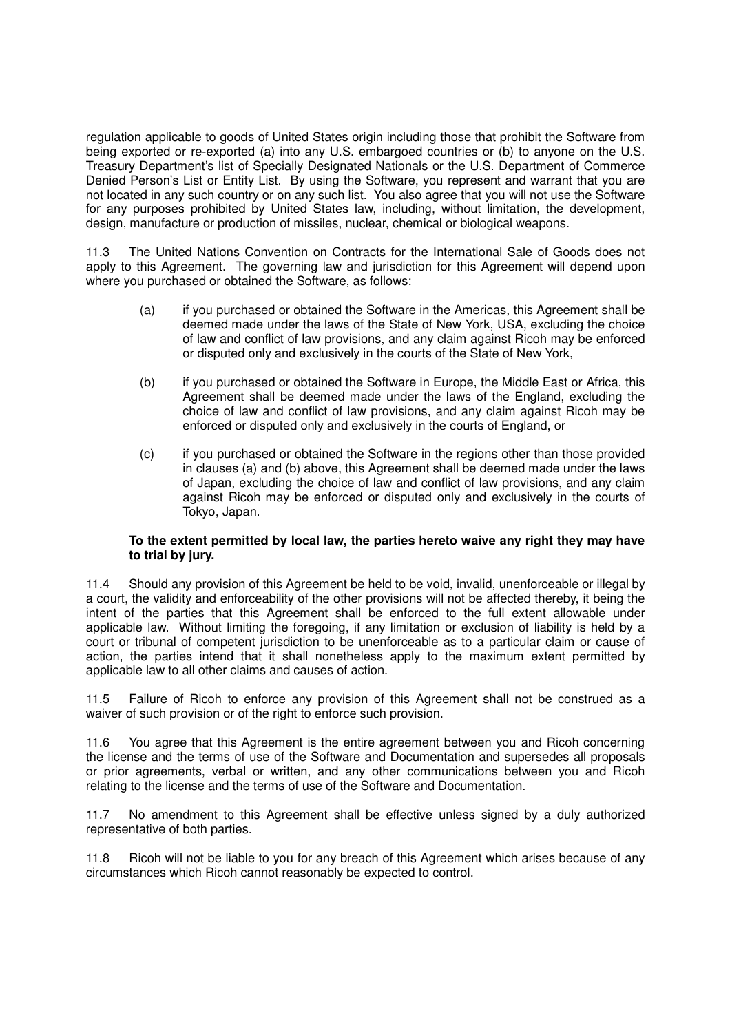regulation applicable to goods of United States origin including those that prohibit the Software from being exported or re-exported (a) into any U.S. embargoed countries or (b) to anyone on the U.S. Treasury Department's list of Specially Designated Nationals or the U.S. Department of Commerce Denied Person's List or Entity List. By using the Software, you represent and warrant that you are not located in any such country or on any such list. You also agree that you will not use the Software for any purposes prohibited by United States law, including, without limitation, the development, design, manufacture or production of missiles, nuclear, chemical or biological weapons.

11.3 The United Nations Convention on Contracts for the International Sale of Goods does not apply to this Agreement. The governing law and jurisdiction for this Agreement will depend upon where you purchased or obtained the Software, as follows:

- (a) if you purchased or obtained the Software in the Americas, this Agreement shall be deemed made under the laws of the State of New York, USA, excluding the choice of law and conflict of law provisions, and any claim against Ricoh may be enforced or disputed only and exclusively in the courts of the State of New York,
- (b) if you purchased or obtained the Software in Europe, the Middle East or Africa, this Agreement shall be deemed made under the laws of the England, excluding the choice of law and conflict of law provisions, and any claim against Ricoh may be enforced or disputed only and exclusively in the courts of England, or
- (c) if you purchased or obtained the Software in the regions other than those provided in clauses (a) and (b) above, this Agreement shall be deemed made under the laws of Japan, excluding the choice of law and conflict of law provisions, and any claim against Ricoh may be enforced or disputed only and exclusively in the courts of Tokyo, Japan.

### **To the extent permitted by local law, the parties hereto waive any right they may have to trial by jury.**

11.4 Should any provision of this Agreement be held to be void, invalid, unenforceable or illegal by a court, the validity and enforceability of the other provisions will not be affected thereby, it being the intent of the parties that this Agreement shall be enforced to the full extent allowable under applicable law. Without limiting the foregoing, if any limitation or exclusion of liability is held by a court or tribunal of competent jurisdiction to be unenforceable as to a particular claim or cause of action, the parties intend that it shall nonetheless apply to the maximum extent permitted by applicable law to all other claims and causes of action.

11.5 Failure of Ricoh to enforce any provision of this Agreement shall not be construed as a waiver of such provision or of the right to enforce such provision.

11.6 You agree that this Agreement is the entire agreement between you and Ricoh concerning the license and the terms of use of the Software and Documentation and supersedes all proposals or prior agreements, verbal or written, and any other communications between you and Ricoh relating to the license and the terms of use of the Software and Documentation.

11.7 No amendment to this Agreement shall be effective unless signed by a duly authorized representative of both parties.

11.8 Ricoh will not be liable to you for any breach of this Agreement which arises because of any circumstances which Ricoh cannot reasonably be expected to control.